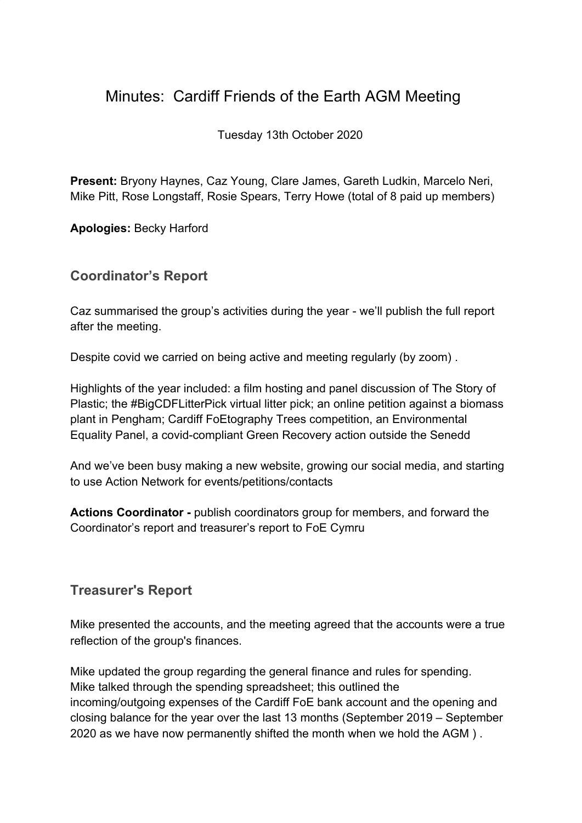# Minutes: Cardiff Friends of the Earth AGM Meeting

Tuesday 13th October 2020

**Present:** Bryony Haynes, Caz Young, Clare James, Gareth Ludkin, Marcelo Neri, Mike Pitt, Rose Longstaff, Rosie Spears, Terry Howe (total of 8 paid up members)

**Apologies:** Becky Harford

### **Coordinator's Report**

Caz summarised the group's activities during the year - we'll publish the full report after the meeting.

Despite covid we carried on being active and meeting regularly (by zoom) .

Highlights of the year included: a film hosting and panel discussion of The Story of Plastic; the #BigCDFLitterPick virtual litter pick; an online petition against a biomass plant in Pengham; Cardiff FoEtography Trees competition, an Environmental Equality Panel, a covid-compliant Green Recovery action outside the Senedd

And we've been busy making a new website, growing our social media, and starting to use Action Network for events/petitions/contacts

**Actions Coordinator -** publish coordinators group for members, and forward the Coordinator's report and treasurer's report to FoE Cymru

### **Treasurer's Report**

Mike presented the accounts, and the meeting agreed that the accounts were a true reflection of the group's finances.

Mike updated the group regarding the general finance and rules for spending. Mike talked through the spending spreadsheet; this outlined the incoming/outgoing expenses of the Cardiff FoE bank account and the opening and closing balance for the year over the last 13 months (September 2019 – September 2020 as we have now permanently shifted the month when we hold the AGM ) .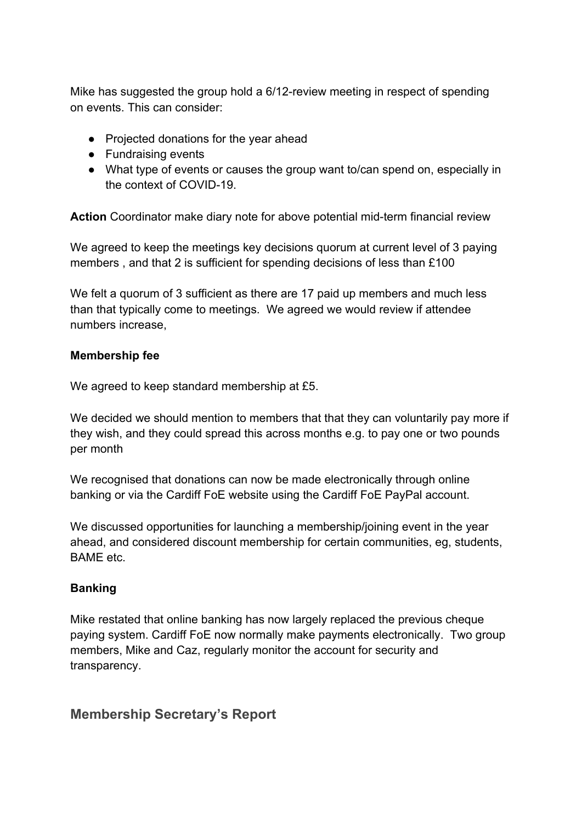Mike has suggested the group hold a 6/12-review meeting in respect of spending on events. This can consider:

- Projected donations for the year ahead
- Fundraising events
- What type of events or causes the group want to/can spend on, especially in the context of COVID-19.

**Action** Coordinator make diary note for above potential mid-term financial review

We agreed to keep the meetings key decisions quorum at current level of 3 paying members , and that 2 is sufficient for spending decisions of less than £100

We felt a quorum of 3 sufficient as there are 17 paid up members and much less than that typically come to meetings. We agreed we would review if attendee numbers increase,

#### **Membership fee**

We agreed to keep standard membership at £5.

We decided we should mention to members that that they can voluntarily pay more if they wish, and they could spread this across months e.g. to pay one or two pounds per month

We recognised that donations can now be made electronically through online banking or via the Cardiff FoE website using the Cardiff FoE PayPal account.

We discussed opportunities for launching a membership/joining event in the year ahead, and considered discount membership for certain communities, eg, students, BAME etc.

#### **Banking**

Mike restated that online banking has now largely replaced the previous cheque paying system. Cardiff FoE now normally make payments electronically. Two group members, Mike and Caz, regularly monitor the account for security and transparency.

### **Membership Secretary's Report**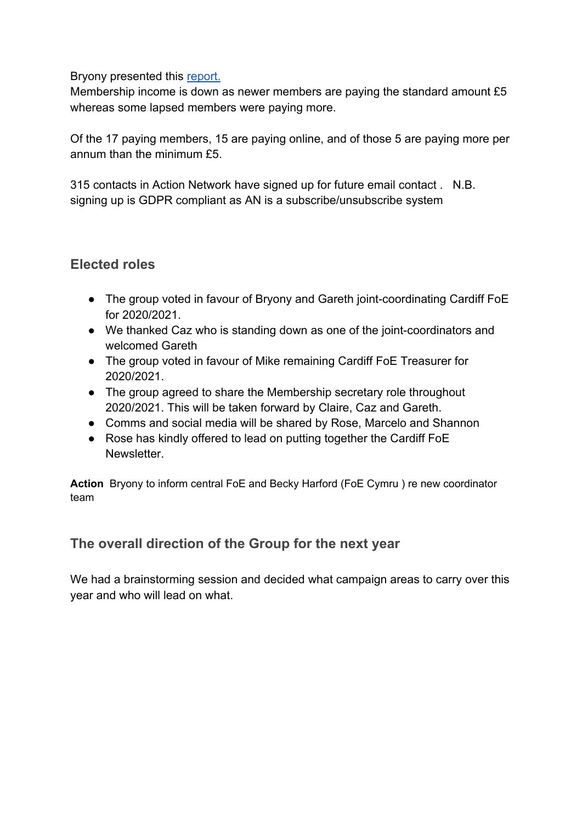#### Bryony presented this [report.](https://docs.google.com/document/d/1xcrFD7pMVSPm2A0C0g7_odJfELU0bO5x8__86XJQYFI/edit?usp=sharing)

Membership income is down as newer members are paying the standard amount £5 whereas some lapsed members were paying more.

Of the 17 paying members, 15 are paying online, and of those 5 are paying more per annum than the minimum £5.

315 contacts in Action Network have signed up for future email contact . N.B. signing up is GDPR compliant as AN is a subscribe/unsubscribe system

### **Elected roles**

- The group voted in favour of Bryony and Gareth joint-coordinating Cardiff FoE for 2020/2021.
- We thanked Caz who is standing down as one of the joint-coordinators and welcomed Gareth
- The group voted in favour of Mike remaining Cardiff FoE Treasurer for 2020/2021.
- The group agreed to share the Membership secretary role throughout 2020/2021. This will be taken forward by Claire, Caz and Gareth.
- Comms and social media will be shared by Rose, Marcelo and Shannon
- Rose has kindly offered to lead on putting together the Cardiff FoE Newsletter.

**Action** Bryony to inform central FoE and Becky Harford (FoE Cymru ) re new coordinator team

## **The overall direction of the Group for the next year**

We had a brainstorming session and decided what campaign areas to carry over this year and who will lead on what.